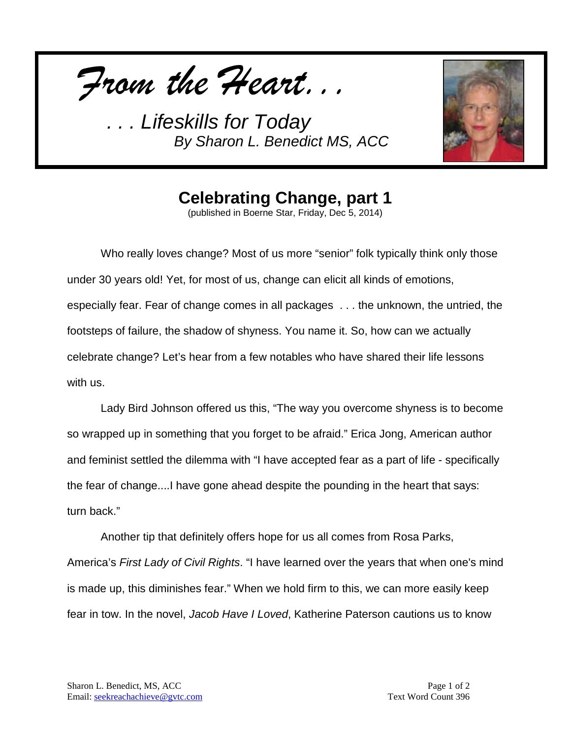*From the Heart...*



**Celebrating Change, part 1**

(published in Boerne Star, Friday, Dec 5, 2014)

Who really loves change? Most of us more "senior" folk typically think only those under 30 years old! Yet, for most of us, change can elicit all kinds of emotions, especially fear. Fear of change comes in all packages . . . the unknown, the untried, the footsteps of failure, the shadow of shyness. You name it. So, how can we actually celebrate change? Let's hear from a few notables who have shared their life lessons with us.

Lady Bird Johnson offered us this, "The way you overcome shyness is to become so wrapped up in something that you forget to be afraid." Erica Jong, American author and feminist settled the dilemma with "I have accepted fear as a part of life - specifically the fear of change....I have gone ahead despite the pounding in the heart that says: turn back."

Another tip that definitely offers hope for us all comes from Rosa Parks, America's *First Lady of Civil Rights*. "I have learned over the years that when one's mind is made up, this diminishes fear." When we hold firm to this, we can more easily keep fear in tow. In the novel, *Jacob Have I Loved*, Katherine Paterson cautions us to know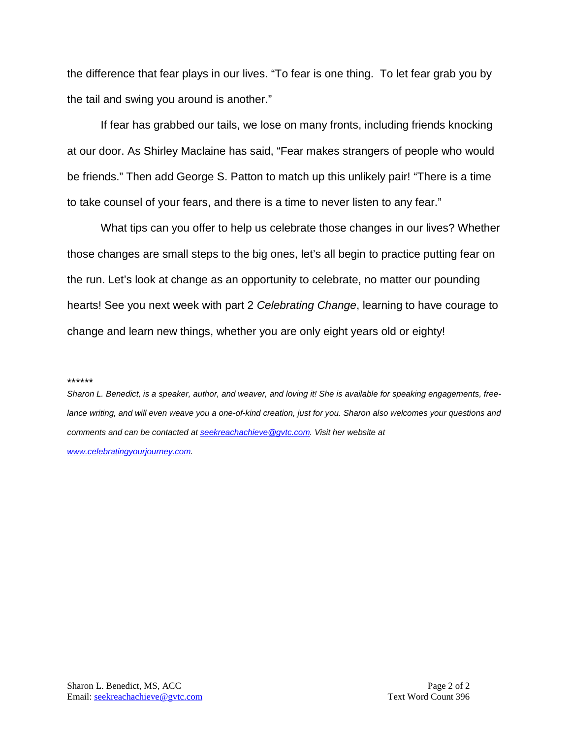the difference that fear plays in our lives. "To fear is one thing. To let fear grab you by the tail and swing you around is another."

If fear has grabbed our tails, we lose on many fronts, including friends knocking at our door. As Shirley Maclaine has said, "Fear makes strangers of people who would be friends." Then add George S. Patton to match up this unlikely pair! "There is a time to take counsel of your fears, and there is a time to never listen to any fear."

What tips can you offer to help us celebrate those changes in our lives? Whether those changes are small steps to the big ones, let's all begin to practice putting fear on the run. Let's look at change as an opportunity to celebrate, no matter our pounding hearts! See you next week with part 2 *Celebrating Change*, learning to have courage to change and learn new things, whether you are only eight years old or eighty!

#### \*\*\*\*\*\*

*Sharon L. Benedict, is a speaker, author, and weaver, and loving it! She is available for speaking engagements, freelance writing, and will even weave you a one-of-kind creation, just for you. Sharon also welcomes your questions and comments and can be contacted a[t seekreachachieve@gvtc.com.](mailto:seekreachachieve@gvtc.com) Visit her website at [www.celebratingyourjourney.com.](http://www.celebratingyourjourney.com/)*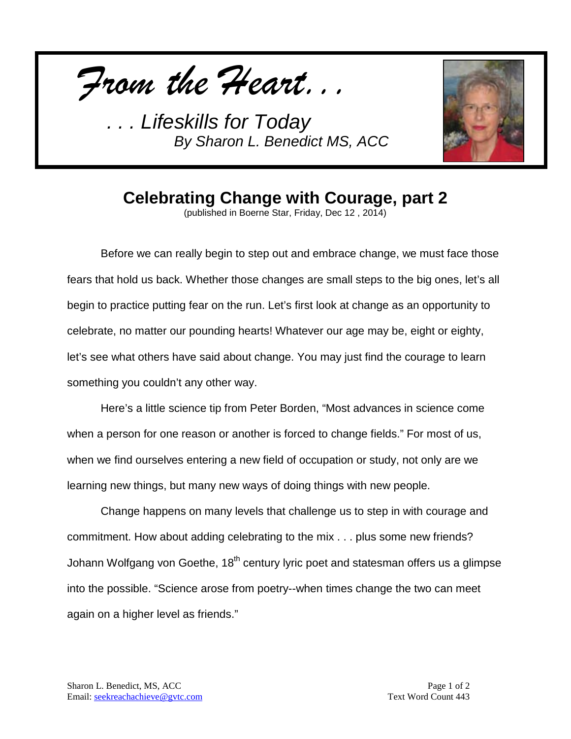*From the Heart...*



## **Celebrating Change with Courage, part 2**

(published in Boerne Star, Friday, Dec 12 , 2014)

Before we can really begin to step out and embrace change, we must face those fears that hold us back. Whether those changes are small steps to the big ones, let's all begin to practice putting fear on the run. Let's first look at change as an opportunity to celebrate, no matter our pounding hearts! Whatever our age may be, eight or eighty, let's see what others have said about change. You may just find the courage to learn something you couldn't any other way.

Here's a little science tip from Peter Borden, "Most advances in science come when a person for one reason or another is forced to change fields." For most of us, when we find ourselves entering a new field of occupation or study, not only are we learning new things, but many new ways of doing things with new people.

Change happens on many levels that challenge us to step in with courage and commitment. How about adding celebrating to the mix . . . plus some new friends? Johann Wolfgang von Goethe, 18<sup>th</sup> century lyric poet and statesman offers us a glimpse into the possible. "Science arose from poetry--when times change the two can meet again on a higher level as friends."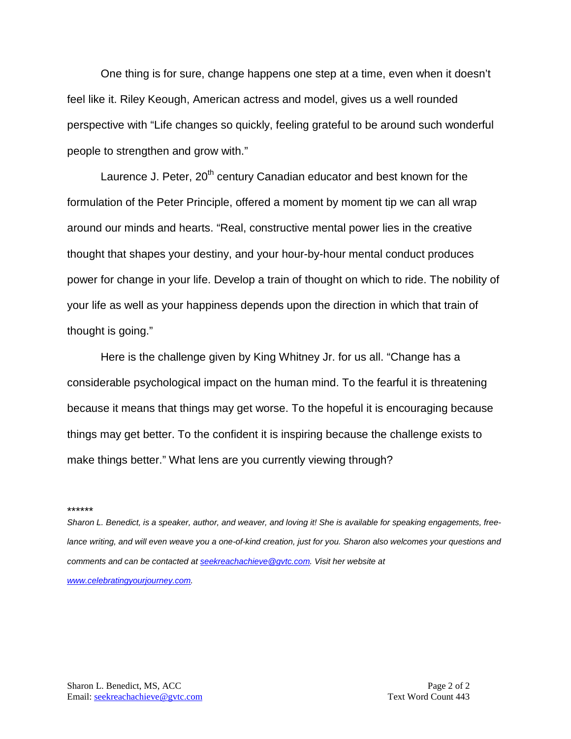One thing is for sure, change happens one step at a time, even when it doesn't feel like it. Riley Keough, American actress and model, gives us a well rounded perspective with "Life changes so quickly, feeling grateful to be around such wonderful people to strengthen and grow with."

Laurence J. Peter, 20<sup>th</sup> century Canadian educator and best known for the formulation of the Peter Principle, offered a moment by moment tip we can all wrap around our minds and hearts. "Real, constructive mental power lies in the creative thought that shapes your destiny, and your hour-by-hour mental conduct produces power for change in your life. Develop a train of thought on which to ride. The nobility of your life as well as your happiness depends upon the direction in which that train of thought is going."

Here is the challenge given by King Whitney Jr. for us all. "Change has a considerable psychological impact on the human mind. To the fearful it is threatening because it means that things may get worse. To the hopeful it is encouraging because things may get better. To the confident it is inspiring because the challenge exists to make things better." What lens are you currently viewing through?

#### \*\*\*\*\*\*

*Sharon L. Benedict, is a speaker, author, and weaver, and loving it! She is available for speaking engagements, freelance writing, and will even weave you a one-of-kind creation, just for you. Sharon also welcomes your questions and comments and can be contacted a[t seekreachachieve@gvtc.com.](mailto:seekreachachieve@gvtc.com) Visit her website at [www.celebratingyourjourney.com.](http://www.celebratingyourjourney.com/)*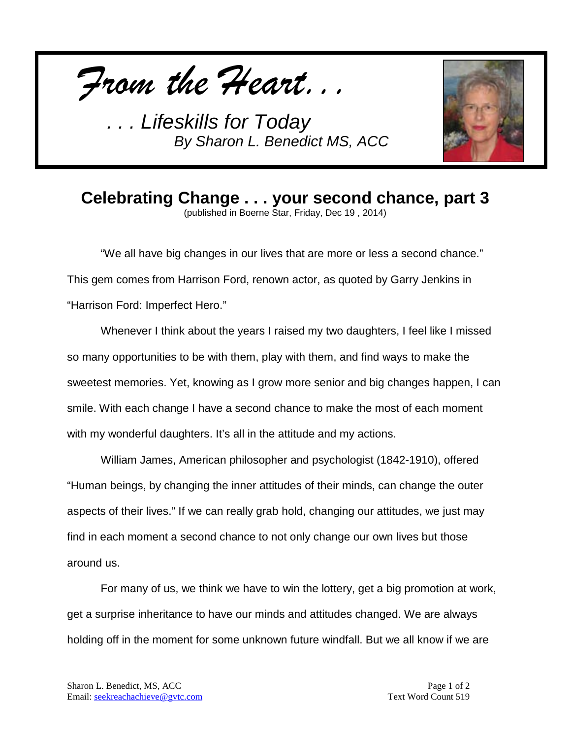



# **Celebrating Change . . . your second chance, part 3**

(published in Boerne Star, Friday, Dec 19 , 2014)

"We all have big changes in our lives that are more or less a second chance." This gem comes from Harrison Ford, renown actor, as quoted by Garry Jenkins in "Harrison Ford: Imperfect Hero."

Whenever I think about the years I raised my two daughters, I feel like I missed so many opportunities to be with them, play with them, and find ways to make the sweetest memories. Yet, knowing as I grow more senior and big changes happen, I can smile. With each change I have a second chance to make the most of each moment with my wonderful daughters. It's all in the attitude and my actions.

William James, American philosopher and psychologist (1842-1910), offered "Human beings, by changing the inner attitudes of their minds, can change the outer aspects of their lives." If we can really grab hold, changing our attitudes, we just may find in each moment a second chance to not only change our own lives but those around us.

For many of us, we think we have to win the lottery, get a big promotion at work, get a surprise inheritance to have our minds and attitudes changed. We are always holding off in the moment for some unknown future windfall. But we all know if we are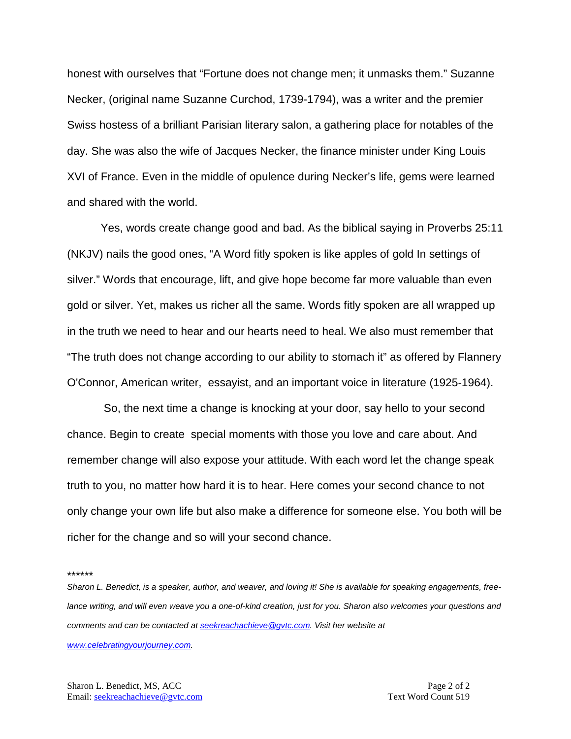honest with ourselves that "Fortune does not change men; it unmasks them." Suzanne Necker, (original name Suzanne Curchod, 1739-1794), was a writer and the premier Swiss hostess of a brilliant Parisian literary salon, a gathering place for notables of the day. She was also the wife of Jacques Necker, the finance minister under King Louis XVI of France. Even in the middle of opulence during Necker's life, gems were learned and shared with the world.

Yes, words create change good and bad. As the biblical saying in Proverbs 25:11 (NKJV) nails the good ones, "A Word fitly spoken is like apples of gold In settings of silver." Words that encourage, lift, and give hope become far more valuable than even gold or silver. Yet, makes us richer all the same. Words fitly spoken are all wrapped up in the truth we need to hear and our hearts need to heal. We also must remember that "The truth does not change according to our ability to stomach it" as offered by Flannery O'Connor, American writer, essayist, and an important voice in literature (1925-1964).

So, the next time a change is knocking at your door, say hello to your second chance. Begin to create special moments with those you love and care about. And remember change will also expose your attitude. With each word let the change speak truth to you, no matter how hard it is to hear. Here comes your second chance to not only change your own life but also make a difference for someone else. You both will be richer for the change and so will your second chance.

\*\*\*\*\*\*

*Sharon L. Benedict, is a speaker, author, and weaver, and loving it! She is available for speaking engagements, freelance writing, and will even weave you a one-of-kind creation, just for you. Sharon also welcomes your questions and comments and can be contacted a[t seekreachachieve@gvtc.com.](mailto:seekreachachieve@gvtc.com) Visit her website at* 

*[www.celebratingyourjourney.com.](http://www.celebratingyourjourney.com/)*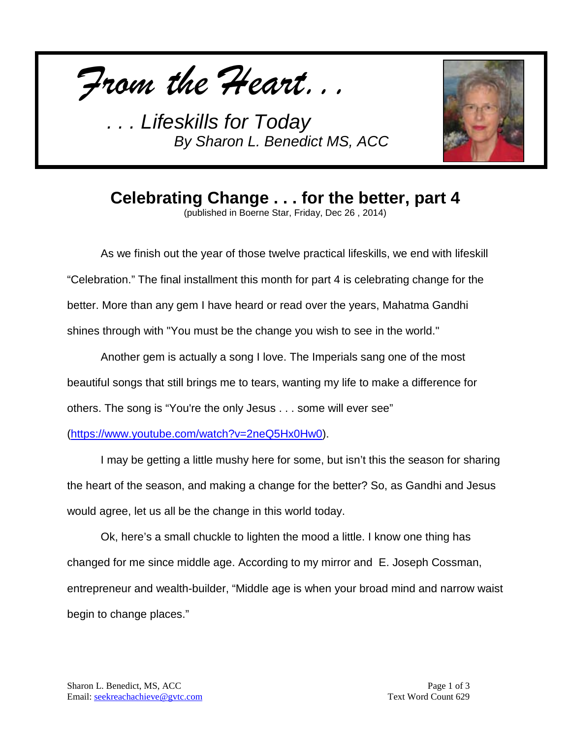*From the Heart...*



**Celebrating Change . . . for the better, part 4**

(published in Boerne Star, Friday, Dec 26 , 2014)

As we finish out the year of those twelve practical lifeskills, we end with lifeskill "Celebration." The final installment this month for part 4 is celebrating change for the better. More than any gem I have heard or read over the years, Mahatma Gandhi shines through with "You must be the change you wish to see in the world."

Another gem is actually a song I love. The Imperials sang one of the most beautiful songs that still brings me to tears, wanting my life to make a difference for others. The song is "You're the only Jesus . . . some will ever see"

[\(https://www.youtube.com/watch?v=2neQ5Hx0Hw0\)](https://www.youtube.com/watch?v=2neQ5Hx0Hw0).

I may be getting a little mushy here for some, but isn't this the season for sharing the heart of the season, and making a change for the better? So, as Gandhi and Jesus would agree, let us all be the change in this world today.

Ok, here's a small chuckle to lighten the mood a little. I know one thing has changed for me since middle age. According to my mirror and E. Joseph Cossman, entrepreneur and wealth-builder, "Middle age is when your broad mind and narrow waist begin to change places."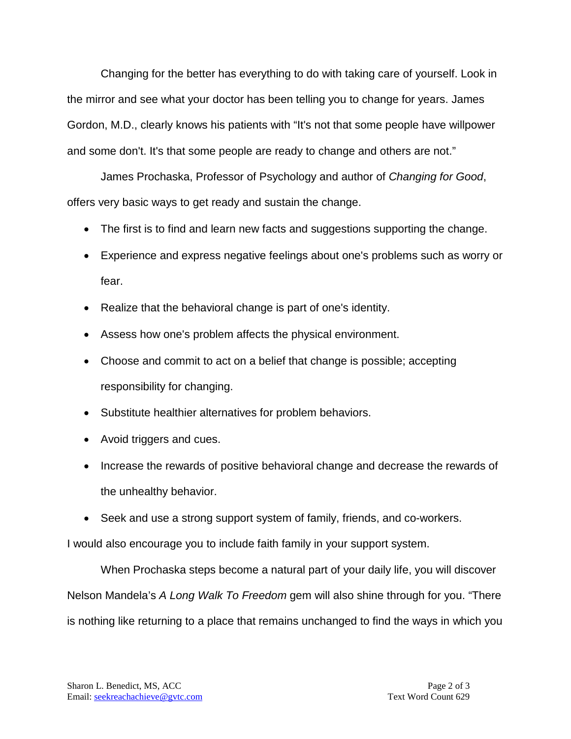Changing for the better has everything to do with taking care of yourself. Look in the mirror and see what your doctor has been telling you to change for years. James Gordon, M.D., clearly knows his patients with "It's not that some people have willpower and some don't. It's that some people are ready to change and others are not."

James Prochaska, Professor of Psychology and author of *Changing for Good*, offers very basic ways to get ready and sustain the change.

- The first is to find and learn new facts and suggestions supporting the change.
- Experience and express negative feelings about one's problems such as worry or fear.
- Realize that the behavioral change is part of one's identity.
- Assess how one's problem affects the physical environment.
- Choose and commit to act on a belief that change is possible; accepting responsibility for changing.
- Substitute healthier alternatives for problem behaviors.
- Avoid triggers and cues.
- Increase the rewards of positive behavioral change and decrease the rewards of the unhealthy behavior.
- Seek and use a strong support system of family, friends, and co-workers.

I would also encourage you to include faith family in your support system.

When Prochaska steps become a natural part of your daily life, you will discover Nelson Mandela's *A Long Walk To Freedom* gem will also shine through for you. "There is nothing like returning to a place that remains unchanged to find the ways in which you